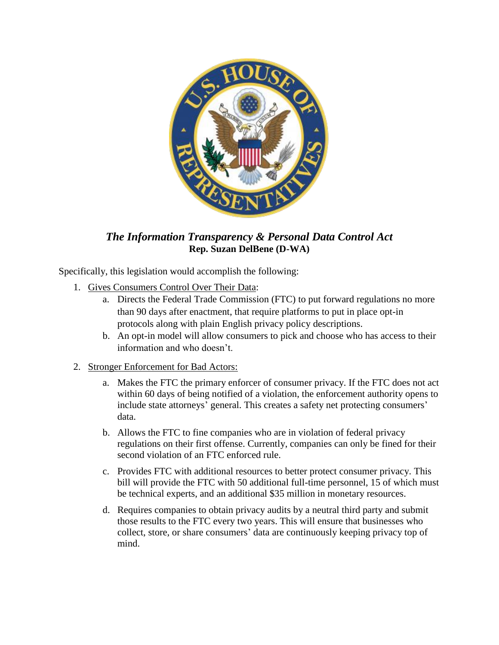

## *The Information Transparency & Personal Data Control Act* **Rep. Suzan DelBene (D-WA)**

Specifically, this legislation would accomplish the following:

- 1. Gives Consumers Control Over Their Data:
	- a. Directs the Federal Trade Commission (FTC) to put forward regulations no more than 90 days after enactment, that require platforms to put in place opt-in protocols along with plain English privacy policy descriptions.
	- b. An opt-in model will allow consumers to pick and choose who has access to their information and who doesn't.

## 2. Stronger Enforcement for Bad Actors:

- a. Makes the FTC the primary enforcer of consumer privacy. If the FTC does not act within 60 days of being notified of a violation, the enforcement authority opens to include state attorneys' general. This creates a safety net protecting consumers' data.
- b. Allows the FTC to fine companies who are in violation of federal privacy regulations on their first offense. Currently, companies can only be fined for their second violation of an FTC enforced rule.
- c. Provides FTC with additional resources to better protect consumer privacy. This bill will provide the FTC with 50 additional full-time personnel, 15 of which must be technical experts, and an additional \$35 million in monetary resources.
- d. Requires companies to obtain privacy audits by a neutral third party and submit those results to the FTC every two years. This will ensure that businesses who collect, store, or share consumers' data are continuously keeping privacy top of mind.